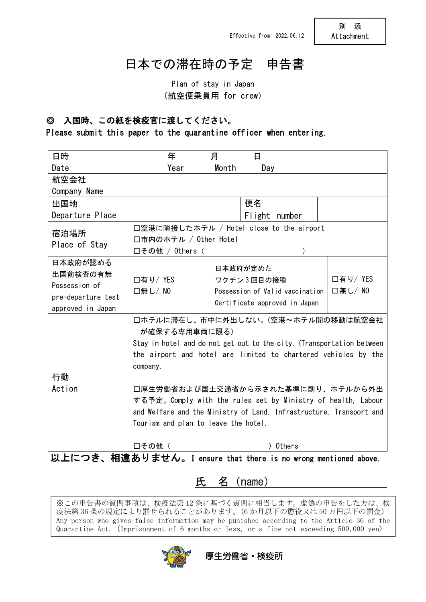# 日本での滞在時の予定 申告書

Plan of stay in Japan (航空便乗員用 for crew)

# ◎ 入国時、この紙を検疫官に渡してください。

### Please submit this paper to the quarantine officer when entering.

| 日時                                                             | 年                                                                                                                                       | 月<br>日                          |          |
|----------------------------------------------------------------|-----------------------------------------------------------------------------------------------------------------------------------------|---------------------------------|----------|
| Date                                                           | Year                                                                                                                                    | Month<br>Day                    |          |
| 航空会社                                                           |                                                                                                                                         |                                 |          |
| Company Name                                                   |                                                                                                                                         |                                 |          |
| 出国地                                                            |                                                                                                                                         | 便名                              |          |
| Departure Place                                                |                                                                                                                                         | Flight number                   |          |
| 宿泊場所                                                           | 口空港に隣接したホテル / Hotel close to the airport                                                                                                |                                 |          |
| Place of Stay                                                  | □市内のホテル / Other Hotel                                                                                                                   |                                 |          |
|                                                                | □その他 / 0thers (                                                                                                                         |                                 |          |
| 日本政府が認める                                                       |                                                                                                                                         | 日本政府が定めた                        |          |
| 出国前検査の有無                                                       | □有り/ YES                                                                                                                                | ワクチン3回目の接種                      | □有り/ YES |
| Possession of                                                  | □無し/NO                                                                                                                                  | Possession of Valid vaccination | □無し/ NO  |
| pre-departure test                                             |                                                                                                                                         | Certificate approved in Japan   |          |
| approved in Japan                                              |                                                                                                                                         |                                 |          |
|                                                                | 口ホテルに滞在し、市中に外出しない。(空港~ホテル間の移動は航空会社                                                                                                      |                                 |          |
|                                                                | が確保する専用車両に限る)                                                                                                                           |                                 |          |
|                                                                | Stay in hotel and do not get out to the city. (Transportation between<br>the airport and hotel are limited to chartered vehicles by the |                                 |          |
|                                                                |                                                                                                                                         |                                 |          |
|                                                                | company.                                                                                                                                |                                 |          |
| 行動                                                             |                                                                                                                                         |                                 |          |
| Action                                                         | 口厚生労働省および国土交通省から示された基準に則り、ホテルから外出                                                                                                       |                                 |          |
|                                                                | する予定。Comply with the rules set by Ministry of health, Labour                                                                            |                                 |          |
|                                                                | and Welfare and the Ministry of Land, Infrastructure, Transport and                                                                     |                                 |          |
|                                                                | Tourism and plan to leave the hotel.                                                                                                    |                                 |          |
|                                                                |                                                                                                                                         |                                 |          |
|                                                                | □その他 (                                                                                                                                  | ) Others                        |          |
| 以上につき、相違ありません。I ensure that there is no wrong mentioned above. |                                                                                                                                         |                                 |          |

## 氏 名 (name)

※この申告書の質問事項は、検疫法第 12 条に基づく質問に相当します。虚偽の申告をした方は、検 疫法第 36 条の規定により罰せられることがあります。(6 か月以下の懲役又は 50 万円以下の罰金) Any person who gives false information may be punished according to the Article 36 of the Quarantine Act. (Imprisonment of 6 months or less, or a fine not exceeding 500,000 yen)

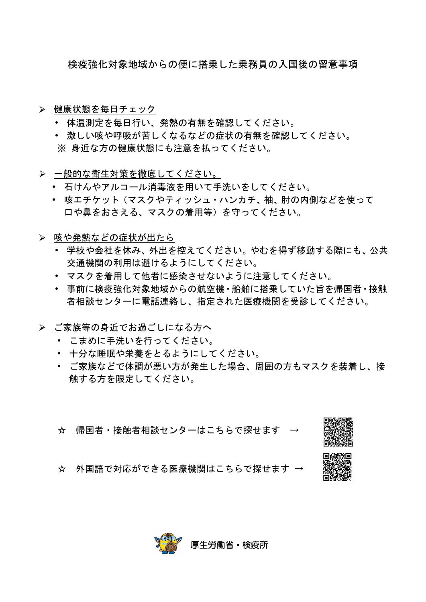検疫強化対象地域からの便に搭乗した乗務員の入国後の留意事項

- ▶ 健康状態を毎日チェック
	- ・ 体温測定を毎日行い、発熱の有無を確認してください。
	- ・ 激しい咳や呼吸が苦しくなるなどの症状の有無を確認してください。 ※ 身近な方の健康状態にも注意を払ってください。
- ▶ 一般的な衛生対策を徹底してください。
	- ・ 石けんやアルコール消毒液を用いて手洗いをしてください。
	- ・ 咳エチケット(マスクやティッシュ・ハンカチ、袖、肘の内側などを使って 口や鼻をおさえる、マスクの着用等)を守ってください。
- 咳や発熱などの症状が出たら
	- ・ 学校や会社を休み、外出を控えてください。やむを得ず移動する際にも、公共 交通機関の利用は避けるようにしてください。
	- ・ マスクを着用して他者に感染させないように注意してください。
	- ・ 事前に検疫強化対象地域からの航空機・船舶に搭乗していた旨を帰国者・接触 者相談センターに電話連絡し、指定された医療機関を受診してください。
- > ご家族等の身近でお過ごしになる方へ
	- ・ こまめに手洗いを行ってください。
	- ・ 十分な睡眠や栄養をとるようにしてください。
	- ・ ご家族などで体調が悪い方が発生した場合、周囲の方もマスクを装着し、接 触する方を限定してください。
	- ☆ 帰国者・接触者相談センターはこちらで探せます →



☆ 外国語で対応ができる医療機関はこちらで探せます →